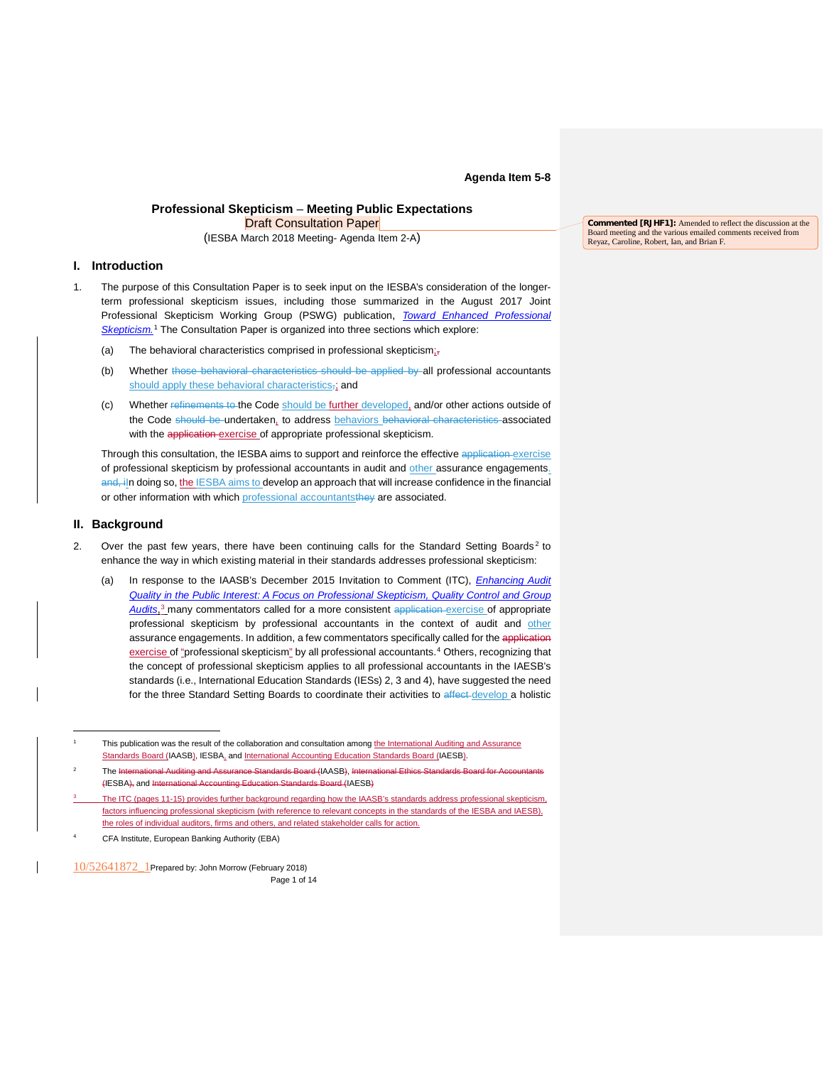**Agenda Item 5-8**

# **Professional Skepticism** – **Meeting Public Expectations** Draft Consultation Paper

(IESBA March 2018 Meeting- Agenda Item 2-A)

# **I. Introduction**

- 1. The purpose of this Consultation Paper is to seek input on the IESBA's consideration of the longerterm professional skepticism issues, including those summarized in the August 2017 Joint Professional Skepticism Working Group (PSWG) publication, *Toward Enhanced [Professional](http://www.ifac.org/publications-resources/toward-enhanced-professional-skepticism) [Skepticism.](http://www.ifac.org/publications-resources/toward-enhanced-professional-skepticism)* [1](#page-0-0) The Consultation Paper is organized into three sections which explore:
	- (a) The behavioral characteristics comprised in professional skepticism; $\overline{z}$
	- (b) Whether those behavioral characteristics should be applied by all professional accountants should apply these behavioral characteristics,; and
	- (c) Whether refinements to the Code should be further developed, and/or other actions outside of the Code should be undertaken, to address behaviors behavioral characteristics associated with the application exercise of appropriate professional skepticism.

Through this consultation, the IESBA aims to support and reinforce the effective application exercise of professional skepticism by professional accountants in audit and other assurance engagements. and, iln doing so, the IESBA aims to develop an approach that will increase confidence in the financial or other information with which professional accountants they are associated.

# **II. Background**

 $\overline{a}$ 

- 2. Over the past few years, there have been continuing calls for the Standard Setting Boards<sup>2</sup> to enhance the way in which existing material in their standards addresses professional skepticism:
	- (a) In response to the IAASB's December 2015 Invitation to Comment (ITC), *[Enhancing](https://www.ifac.org/publications-resources/invitation-comment-enhancing-audit-quality-public-interest) Audit Quality in the Public Interest: A Focus on [Professional](https://www.ifac.org/publications-resources/invitation-comment-enhancing-audit-quality-public-interest) Skepticism, Quality Control and Group [Audits](https://www.ifac.org/publications-resources/invitation-comment-enhancing-audit-quality-public-interest)*, [3](#page-0-2) many commentators called for a more consistent application exercise of appropriate professional skepticism by professional accountants in the context of audit and other assurance engagements. In addition, a few commentators specifically called for the application exercise of "professional skepticism" by all professional accountants.<sup>[4](#page-0-3)</sup> Others, recognizing that the concept of professional skepticism applies to all professional accountants in the IAESB's standards (i.e., International Education Standards (IESs) 2, 3 and 4), have suggested the need for the three Standard Setting Boards to coordinate their activities to affect develop a holistic

**Commented [RJHF1]:** Amended to reflect the discussion at the Board meeting and the various emailed comments received from Reyaz, Caroline, Robert, Ian, and Brian F.

<sup>1</sup> This publication was the result of the collaboration and consultation among the International Auditing and Assurance Standards Board (IAASB), IESBA, and International Accounting Education Standards Board (IAESB).

The International Auditing and Assurance Standards Board (IAASB), Internat (IESBA), and International Accounting Education Standards Board (IAESB)

<span id="page-0-0"></span>The ITC (pages 11-15) provides further background regarding how the IAASB's standards address professional skepticism, factors influencing professional skepticism (with reference to relevant concepts in the standards of the IESBA and IAESB), the roles of individual auditors, firms and others, and related stakeholder calls for action.

<span id="page-0-3"></span><span id="page-0-2"></span><span id="page-0-1"></span><sup>4</sup> CFA Institute, European Banking Authority (EBA)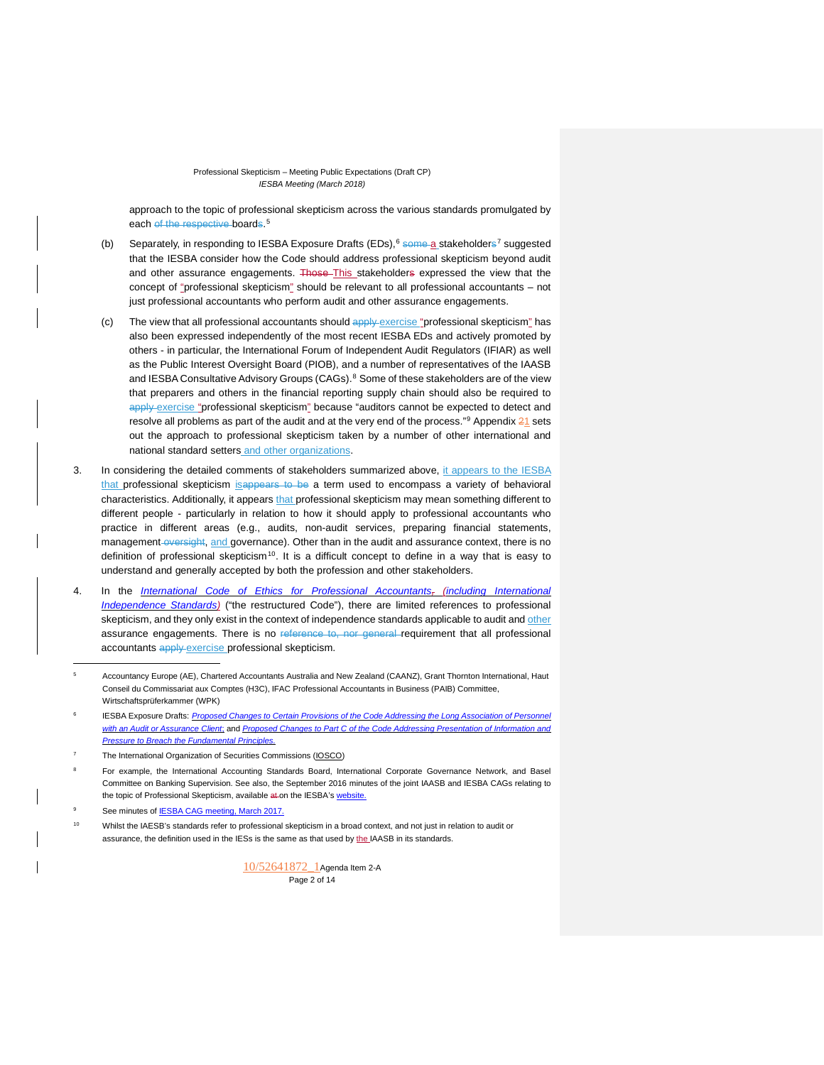approach to the topic of professional skepticism across the various standards promulgated by each of the respective boards.<sup>[5](#page-1-0)</sup>

- (b) Separately, in responding to IESBA Exposure Drafts (EDs), <sup>[6](#page-1-1)</sup> some a stakeholders<sup>[7](#page-1-2)</sup> suggested that the IESBA consider how the Code should address professional skepticism beyond audit and other assurance engagements. Those-This stakeholders expressed the view that the concept of "professional skepticism" should be relevant to all professional accountants – not just professional accountants who perform audit and other assurance engagements.
- (c) The view that all professional accountants should  $\frac{ap \log p}{p}$  exercise "professional skepticism" has also been expressed independently of the most recent IESBA EDs and actively promoted by others - in particular, the International Forum of Independent Audit Regulators (IFIAR) as well as the Public Interest Oversight Board (PIOB), and a number of representatives of the IAASB and IESBA Consultative Advisory Groups (CAGs).<sup>[8](#page-1-3)</sup> Some of these stakeholders are of the view that preparers and others in the financial reporting supply chain should also be required to apply exercise "professional skepticism" because "auditors cannot be expected to detect and resolve all problems as part of the audit and at the very end of the process."<sup>[9](#page-1-4)</sup> Appendix  $21$  sets out the approach to professional skepticism taken by a number of other international and national standard setters and other organizations.
- 3. In considering the detailed comments of stakeholders summarized above, it appears to the IESBA that professional skepticism is appears to be a term used to encompass a variety of behavioral characteristics. Additionally, it appears that professional skepticism may mean something different to different people - particularly in relation to how it should apply to professional accountants who practice in different areas (e.g., audits, non-audit services, preparing financial statements, management oversight, and governance). Other than in the audit and assurance context, there is no definition of professional skepticism<sup>10</sup>. It is a difficult concept to define in a way that is easy to understand and generally accepted by both the profession and other stakeholders.
- 4. In the *[International Code of Ethics for Professional Accountants,](http://www.ethicsboard.org/system/files/meetings/files/IEBSA-Restructured-Code-Approved-Text-Clean-final_1.pdf) (including International [Independence Standards\)](http://www.ethicsboard.org/system/files/meetings/files/IEBSA-Restructured-Code-Approved-Text-Clean-final_1.pdf)* ("the restructured Code"), there are limited references to professional skepticism, and they only exist in the context of independence standards applicable to audit and other assurance engagements. There is no reference to, nor general requirement that all professional accountants apply exercise professional skepticism.

See minutes of **IESBA CAG [meeting,](http://www.ethicsboard.org/system/files/meetings/files/Agenda-Item-A-Draft-March-2017-IESBA-CAG-Minutes.pdf) March 2017.** 

j

<span id="page-1-5"></span><span id="page-1-4"></span><span id="page-1-3"></span><span id="page-1-2"></span><sup>10</sup> Whilst the IAESB's standards refer to professional skepticism in a broad context, and not just in relation to audit or assurance, the definition used in the IESs is the same as that used by the IAASB in its standards.

> 10/52641872\_1Agenda Item 2-A Page 2 of 14

<sup>5</sup> Accountancy Europe (AE), Chartered Accountants Australia and New Zealand (CAANZ), Grant Thornton International, Haut Conseil du Commissariat aux Comptes (H3C), IFAC Professional Accountants in Business (PAIB) Committee, Wirtschaftsprüferkammer (WPK)

<span id="page-1-0"></span><sup>6</sup> IESBA Exposure Drafts: *[Proposed Changes to Certain Provisions of the Code Addressing the Long Association of Personnel](https://www.ifac.org/publications-resources/proposed-changes-certain-provisions-code-addressing-long-association-personne)  [with an Audit or Assurance Client](https://www.ifac.org/publications-resources/proposed-changes-certain-provisions-code-addressing-long-association-personne)*; and *[Proposed Changes to Part C of the Code Addressing Presentation of Information and](https://www.ifac.org/publications-resources/proposed-changes-part-c-code-addressing-presentation-information-and-pressure)  [Pressure to Breach the Fundamental Principles.](https://www.ifac.org/publications-resources/proposed-changes-part-c-code-addressing-presentation-information-and-pressure)*

<sup>7</sup> The International Organization of Securities Commissions [\(IOSCO\)](http://www.ifac.org/system/files/publications/exposure-drafts/comments/41.IOSCO.pdf)

<span id="page-1-1"></span><sup>8</sup> For example, the International Accounting Standards Board, International Corporate Governance Network, and Basel Committee on Banking Supervision. See also, the September 2016 minutes of the joint IAASB and IESBA CAGs relating to the topic of Professional Skepticism, available at on the IESBA's [website.](http://www.ethicsboard.org/system/files/meetings/files/20160913-IESBA-IAASB-CAG-Final-Minutes-of-September-2016-Joint-Session-Minutes.pdf.)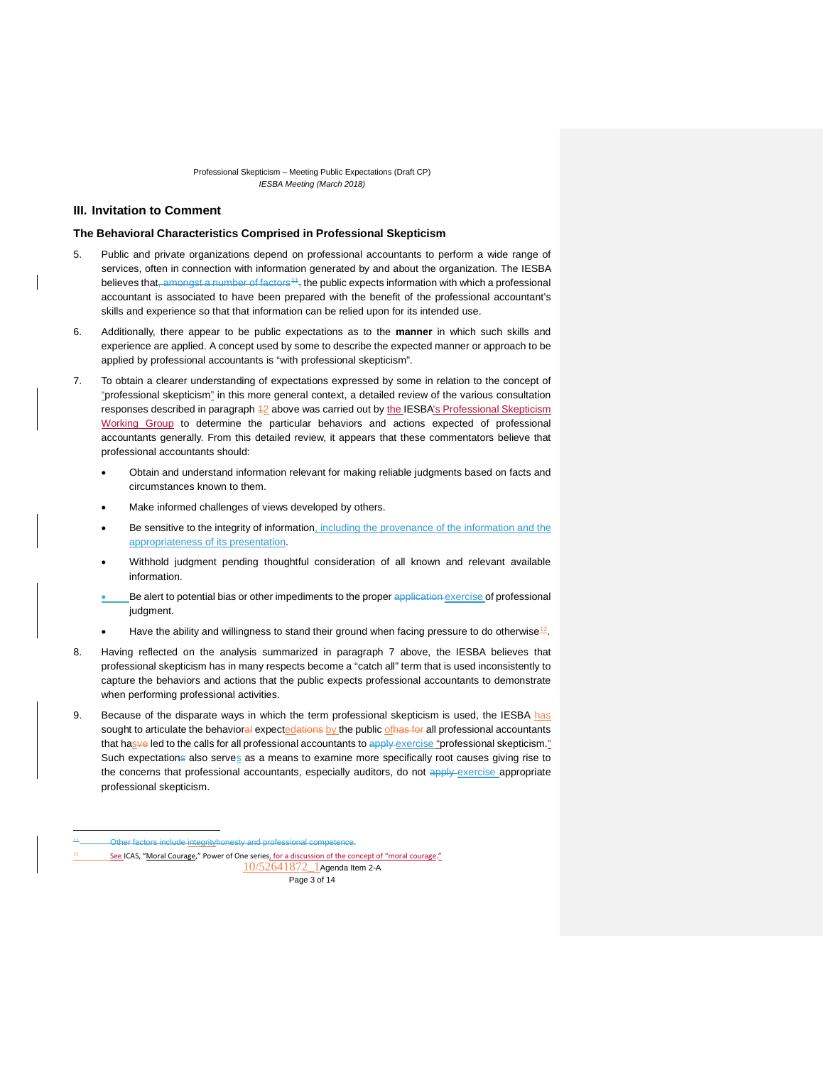# **III. Invitation to Comment**

### **The Behavioral Characteristics Comprised in Professional Skepticism**

- 5. Public and private organizations depend on professional accountants to perform a wide range of services, often in connection with information generated by and about the organization. The IESBA believes that, amongst a number of factors<sup>11</sup>, the public expects information with which a professional accountant is associated to have been prepared with the benefit of the professional accountant's skills and experience so that that information can be relied upon for its intended use.
- 6. Additionally, there appear to be public expectations as to the **manner** in which such skills and experience are applied. A concept used by some to describe the expected manner or approach to be applied by professional accountants is "with professional skepticism".
- 7. To obtain a clearer understanding of expectations expressed by some in relation to the concept of "professional skepticism" in this more general context, a detailed review of the various consultation responses described in paragraph 42 above was carried out by the IESBA's Professional Skepticism Working Group to determine the particular behaviors and actions expected of professional accountants generally. From this detailed review, it appears that these commentators believe that professional accountants should:
	- Obtain and understand information relevant for making reliable judgments based on facts and circumstances known to them.
	- Make informed challenges of views developed by others.
	- Be sensitive to the integrity of information, including the provenance of the information and the appropriateness of its presentation.
	- Withhold judgment pending thoughtful consideration of all known and relevant available information.
	- Be alert to potential bias or other impediments to the proper application exercise of professional judgment.
	- Have the ability and willingness to stand their ground when facing pressure to do otherwise<sup>12</sup>.
- 8. Having reflected on the analysis summarized in paragraph 7 above, the IESBA believes that professional skepticism has in many respects become a "catch all" term that is used inconsistently to capture the behaviors and actions that the public expects professional accountants to demonstrate when performing professional activities.
- 9. Because of the disparate ways in which the term professional skepticism is used, the IESBA has sought to articulate the behavioral expectedations by the public of has for all professional accountants that hasve led to the calls for all professional accountants to apply exercise "professional skepticism." Such expectations also serves as a means to examine more specifically root causes giving rise to the concerns that professional accountants, especially auditors, do not apply exercise appropriate professional skepticism.

j

10/52641872\_1Agenda Item 2-A Page 3 of 14

<span id="page-2-1"></span><span id="page-2-0"></span>Other factors include integrityhonesty and professional competence.

See ICAS, "Moral [Courage,"](https://www.icas.com/ethics/moral-courage) Power of One series, for a discussion of the concept of "moral courage."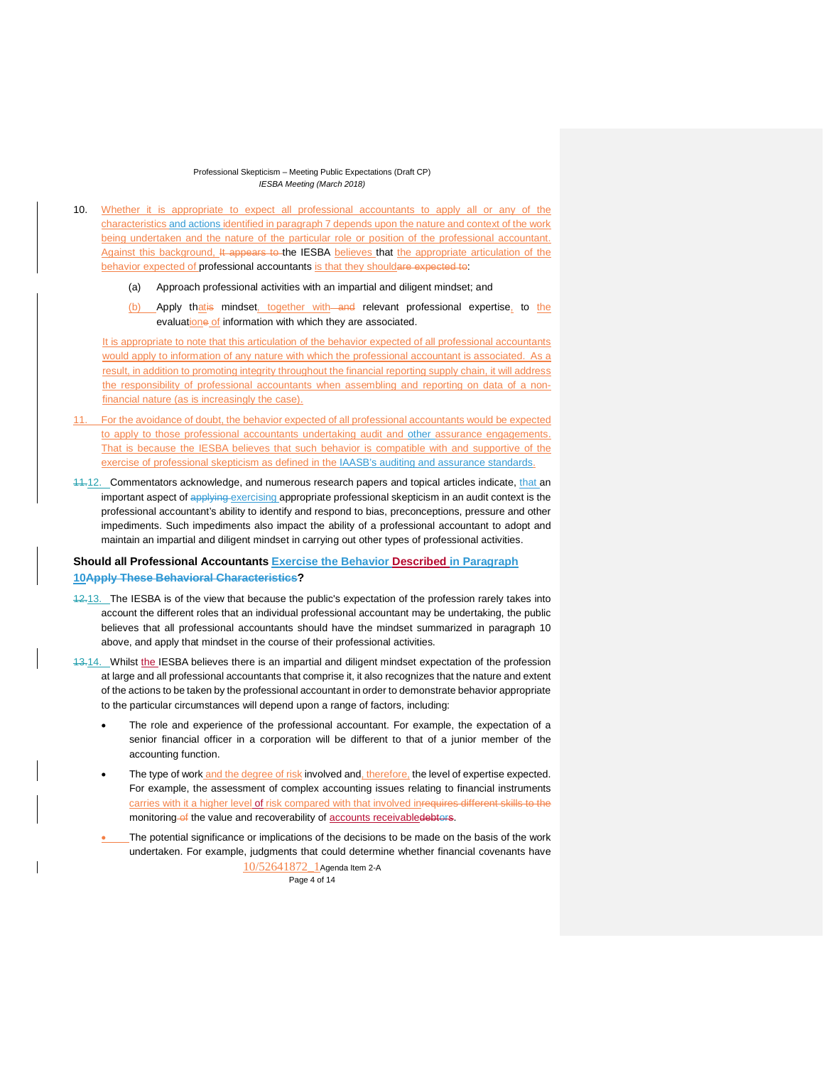- 10. Whether it is appropriate to expect all professional accountants to apply all or any of the characteristics and actions identified in paragraph 7 depends upon the nature and context of the work being undertaken and the nature of the particular role or position of the professional accountant. Against this background, It appears to the IESBA believes that the appropriate articulation of the behavior expected of professional accountants is that they shouldare expected to:
	- (a) Approach professional activities with an impartial and diligent mindset; and
	- (b) Apply thatis mindset, together with and relevant professional expertise, to the evaluatione of information with which they are associated.

It is appropriate to note that this articulation of the behavior expected of all professional accountants would apply to information of any nature with which the professional accountant is associated. As a result, in addition to promoting integrity throughout the financial reporting supply chain, it will address the responsibility of professional accountants when assembling and reporting on data of a nonfinancial nature (as is increasingly the case).

- 11. For the avoidance of doubt, the behavior expected of all professional accountants would be expected to apply to those professional accountants undertaking audit and other assurance engagements. That is because the IESBA believes that such behavior is compatible with and supportive of the exercise of professional skepticism as defined in the IAASB's auditing and assurance standards.
- 11.12. Commentators acknowledge, and numerous research papers and topical articles indicate, that an important aspect of applying exercising appropriate professional skepticism in an audit context is the professional accountant's ability to identify and respond to bias, preconceptions, pressure and other impediments. Such impediments also impact the ability of a professional accountant to adopt and maintain an impartial and diligent mindset in carrying out other types of professional activities.

# **Should all Professional Accountants Exercise the Behavior Described in Paragraph 10Apply These Behavioral Characteristics?**

- 12.13. The IESBA is of the view that because the public's expectation of the profession rarely takes into account the different roles that an individual professional accountant may be undertaking, the public believes that all professional accountants should have the mindset summarized in paragraph 10 above, and apply that mindset in the course of their professional activities.
- 13.14. Whilst the IESBA believes there is an impartial and diligent mindset expectation of the profession at large and all professional accountants that comprise it, it also recognizes that the nature and extent of the actions to be taken by the professional accountant in order to demonstrate behavior appropriate to the particular circumstances will depend upon a range of factors, including:
	- The role and experience of the professional accountant. For example, the expectation of a senior financial officer in a corporation will be different to that of a junior member of the accounting function.
	- The type of work and the degree of risk involved and, therefore, the level of expertise expected. For example, the assessment of complex accounting issues relating to financial instruments carries with it a higher level of risk compared with that involved inrequires different skills to the monitoring of the value and recoverability of accounts receivabledebtors.
	- The potential significance or implications of the decisions to be made on the basis of the work undertaken. For example, judgments that could determine whether financial covenants have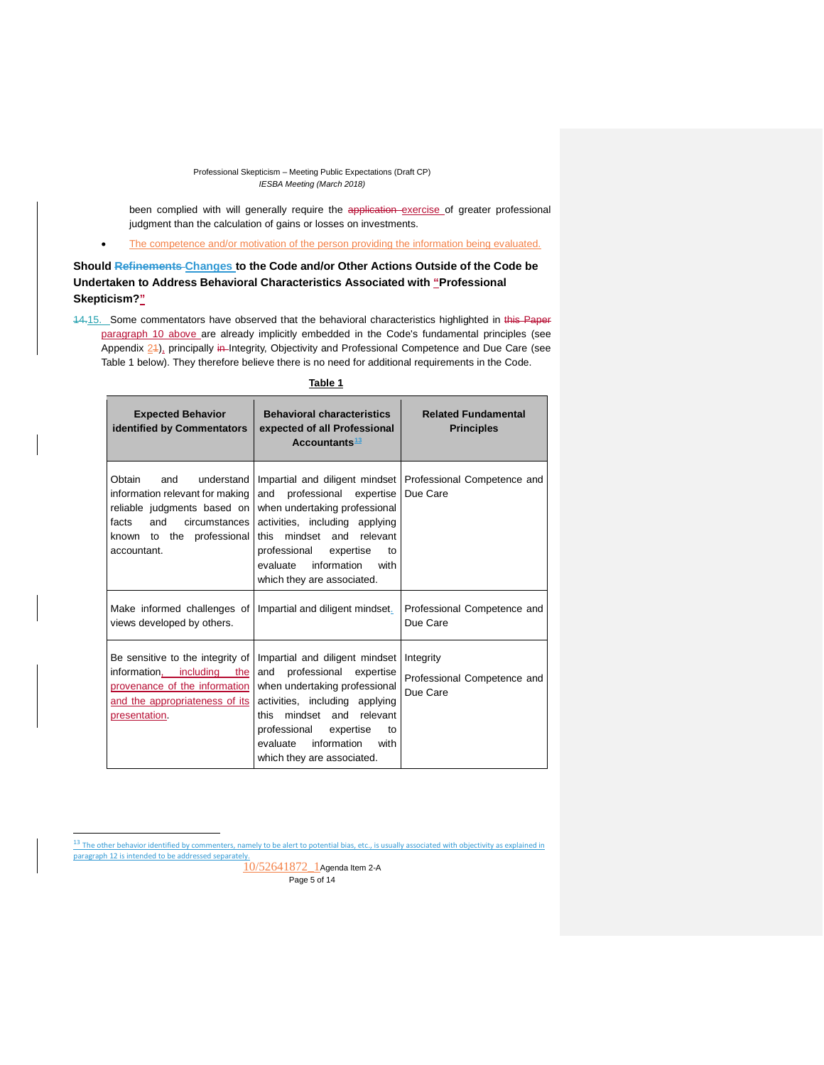been complied with will generally require the application exercise of greater professional judgment than the calculation of gains or losses on investments.

• The competence and/or motivation of the person providing the information being evaluated.

**Should Refinements Changes to the Code and/or Other Actions Outside of the Code be Undertaken to Address Behavioral Characteristics Associated with "Professional Skepticism?"**

14.15. Some commentators have observed that the behavioral characteristics highlighted in this Paper paragraph 10 above are already implicitly embedded in the Code's fundamental principles (see Appendix  $24$ ), principally in Integrity, Objectivity and Professional Competence and Due Care (see Table 1 below). They therefore believe there is no need for additional requirements in the Code.

| н |  |
|---|--|
|   |  |

| <b>Expected Behavior</b><br>identified by Commentators                                                                                                                     | <b>Behavioral characteristics</b><br>expected of all Professional<br>Accountants <sup>13</sup>                                                                                                                                                                            | <b>Related Fundamental</b><br><b>Principles</b>                          |
|----------------------------------------------------------------------------------------------------------------------------------------------------------------------------|---------------------------------------------------------------------------------------------------------------------------------------------------------------------------------------------------------------------------------------------------------------------------|--------------------------------------------------------------------------|
| Obtain<br>and<br>understand<br>information relevant for making<br>reliable judgments based on<br>and<br>circumstances<br>facts<br>known to the professional<br>accountant. | professional expertise<br>and<br>when undertaking professional<br>activities, including applying<br>mindset and relevant<br>this<br>professional expertise<br>to<br>information with<br>evaluate<br>which they are associated.                                            | Impartial and diligent mindset   Professional Competence and<br>Due Care |
| Make informed challenges of<br>views developed by others.                                                                                                                  | Impartial and diligent mindset.                                                                                                                                                                                                                                           | Professional Competence and<br>Due Care                                  |
| Be sensitive to the integrity of<br>information, including the<br>provenance of the information<br>and the appropriateness of its<br>presentation.                         | Impartial and diligent mindset<br>professional<br>and<br>expertise<br>when undertaking professional<br>activities, including applying<br>mindset and relevant<br>this<br>professional<br>expertise<br>to<br>evaluate<br>information<br>with<br>which they are associated. | Integrity<br>Professional Competence and<br>Due Care                     |

<span id="page-4-0"></span> $13$  The other behavior identified by commenters, namely to be alert to potential bias, etc., is usually associated with objectivity as explained in paragraph 12 is intended to be addressed separately.

 $\overline{a}$ 

10/52641872\_1Agenda Item 2-A Page 5 of 14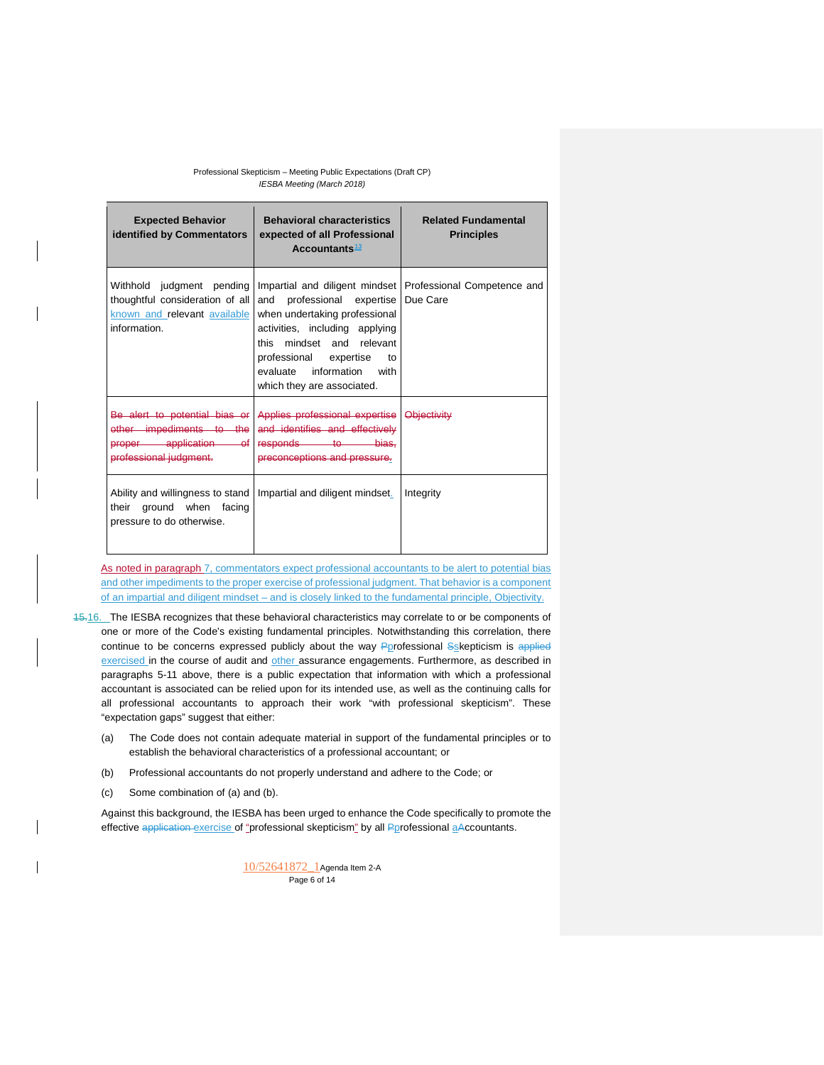| <b>Expected Behavior</b><br>identified by Commentators                                                       | <b>Behavioral characteristics</b><br>expected of all Professional<br>Accountants $13$                                                                                                                              | <b>Related Fundamental</b><br><b>Principles</b>                        |
|--------------------------------------------------------------------------------------------------------------|--------------------------------------------------------------------------------------------------------------------------------------------------------------------------------------------------------------------|------------------------------------------------------------------------|
| Withhold judgment pending<br>thoughtful consideration of all<br>known and relevant available<br>information. | and professional expertise<br>when undertaking professional<br>activities, including applying<br>this mindset and relevant<br>professional expertise to<br>evaluate information with<br>which they are associated. | Impartial and diligent mindset Professional Competence and<br>Due Care |
| Be alert to potential bias or<br>other impediments to the<br>proper application of<br>professional judgment. | Applies professional expertise   Objectivity<br>and identifies and effectively<br>responds to bias.<br>preconceptions and pressure.                                                                                |                                                                        |
| Ability and willingness to stand<br>their ground when facing<br>pressure to do otherwise.                    | Impartial and diligent mindset.                                                                                                                                                                                    | Integrity                                                              |

As noted in paragraph 7, commentators expect professional accountants to be alert to potential bias and other impediments to the proper exercise of professional judgment. That behavior is a component of an impartial and diligent mindset – and is closely linked to the fundamental principle, Objectivity.

- 15.16. The IESBA recognizes that these behavioral characteristics may correlate to or be components of one or more of the Code's existing fundamental principles. Notwithstanding this correlation, there continue to be concerns expressed publicly about the way Pprofessional Sskepticism is applied exercised in the course of audit and other assurance engagements. Furthermore, as described in paragraphs 5-11 above, there is a public expectation that information with which a professional accountant is associated can be relied upon for its intended use, as well as the continuing calls for all professional accountants to approach their work "with professional skepticism". These "expectation gaps" suggest that either:
	- (a) The Code does not contain adequate material in support of the fundamental principles or to establish the behavioral characteristics of a professional accountant; or
	- (b) Professional accountants do not properly understand and adhere to the Code; or
	- (c) Some combination of (a) and (b).

Against this background, the IESBA has been urged to enhance the Code specifically to promote the effective application exercise of "professional skepticism" by all Pprofessional aAccountants.

> 10/52641872\_1Agenda Item 2-A Page 6 of 14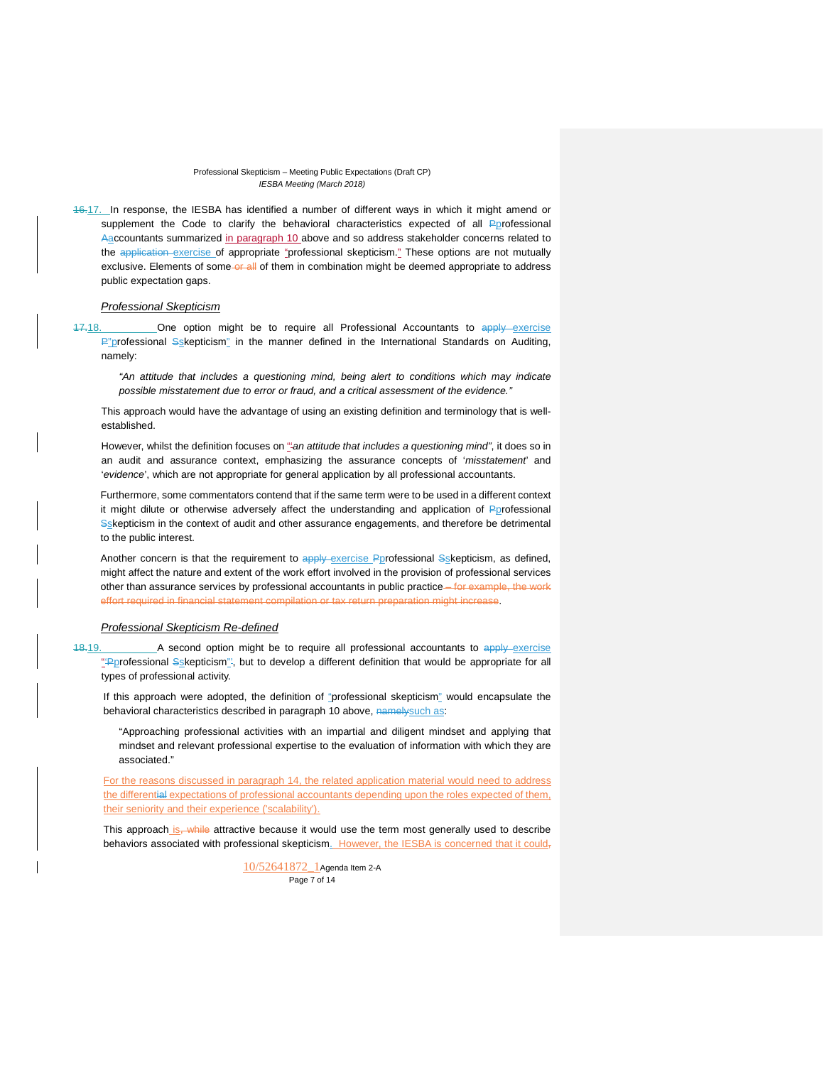16.17. In response, the IESBA has identified a number of different ways in which it might amend or supplement the Code to clarify the behavioral characteristics expected of all Pprofessional Aaccountants summarized in paragraph 10 above and so address stakeholder concerns related to the application exercise of appropriate "professional skepticism." These options are not mutually exclusive. Elements of some-or all of them in combination might be deemed appropriate to address public expectation gaps.

## *Professional Skepticism*

17.18. One option might be to require all Professional Accountants to apply exercise P"professional Sskepticism" in the manner defined in the International Standards on Auditing, namely:

*"An attitude that includes a questioning mind, being alert to conditions which may indicate possible misstatement due to error or fraud, and a critical assessment of the evidence."*

This approach would have the advantage of using an existing definition and terminology that is wellestablished.

However, whilst the definition focuses on "'*an attitude that includes a questioning mind"*, it does so in an audit and assurance context, emphasizing the assurance concepts of '*misstatement*' and '*evidence*', which are not appropriate for general application by all professional accountants.

Furthermore, some commentators contend that if the same term were to be used in a different context it might dilute or otherwise adversely affect the understanding and application of  $P$ *professional* Sskepticism in the context of audit and other assurance engagements, and therefore be detrimental to the public interest.

Another concern is that the requirement to apply exercise Pprofessional Sskepticism, as defined, might affect the nature and extent of the work effort involved in the provision of professional services other than assurance services by professional accountants in public practice—for example, the work effort required in financial statement compilation or tax return preparation might increase.

### *Professional Skepticism Re-defined*

18.19. A second option might be to require all professional accountants to apply exercise "Pprofessional Sskepticism", but to develop a different definition that would be appropriate for all types of professional activity.

If this approach were adopted, the definition of "professional skepticism" would encapsulate the behavioral characteristics described in paragraph 10 above, namelysuch as:

"Approaching professional activities with an impartial and diligent mindset and applying that mindset and relevant professional expertise to the evaluation of information with which they are associated."

For the reasons discussed in paragraph 14, the related application material would need to address the differential expectations of professional accountants depending upon the roles expected of them, their seniority and their experience ('scalability').

This approach is, while attractive because it would use the term most generally used to describe behaviors associated with professional skepticism. However, the IESBA is concerned that it could,

> 10/52641872\_1Agenda Item 2-A Page 7 of 14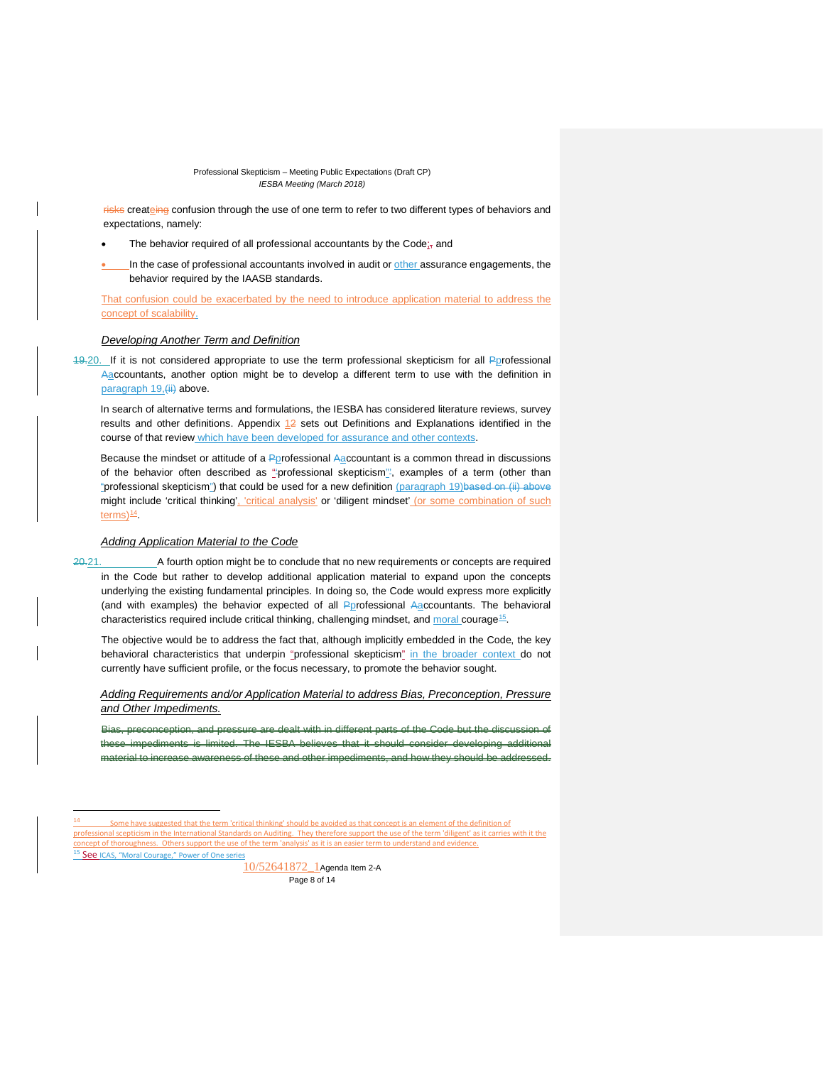risks createing confusion through the use of one term to refer to two different types of behaviors and expectations, namely:

- The behavior required of all professional accountants by the Code $_{57}$  and
- In the case of professional accountants involved in audit or other assurance engagements, the behavior required by the IAASB standards.

That confusion could be exacerbated by the need to introduce application material to address the concept of scalability.

### *Developing Another Term and Definition*

19.20. If it is not considered appropriate to use the term professional skepticism for all Pprofessional Aaccountants, another option might be to develop a different term to use with the definition in paragraph 19, (ii) above.

In search of alternative terms and formulations, the IESBA has considered literature reviews, survey results and other definitions. Appendix  $12$  sets out Definitions and Explanations identified in the course of that review which have been developed for assurance and other contexts.

Because the mindset or attitude of a Pprofessional Aaccountant is a common thread in discussions of the behavior often described as "professional skepticism", examples of a term (other than "professional skepticism") that could be used for a new definition (paragraph 19)based on (ii) above might include 'critical thinking', 'critical analysis' or 'diligent mindset' (or some combination of such  $terms<sup>14</sup>$  $terms<sup>14</sup>$  $terms<sup>14</sup>$ .</u>

#### *Adding Application Material to the Code*

20.21. A fourth option might be to conclude that no new requirements or concepts are required in the Code but rather to develop additional application material to expand upon the concepts underlying the existing fundamental principles. In doing so, the Code would express more explicitly (and with examples) the behavior expected of all Pprofessional Aaccountants. The behavioral characteristics required include critical thinking, challenging mindset, and moral courage<sup>[15](#page-7-1)</sup>.

The objective would be to address the fact that, although implicitly embedded in the Code, the key behavioral characteristics that underpin "professional skepticism" in the broader context do not currently have sufficient profile, or the focus necessary, to promote the behavior sought.

*Adding Requirements and/or Application Material to address Bias, Preconception, Pressure and Other Impediments.* 

Bias, preconception, and pressure are dealt with in different parts of the Code but the discussion of impediments is limited. The IESBA believes that it should consider developing material to increase awareness of these and other impediments, and how they should be addressed.

<span id="page-7-1"></span><span id="page-7-0"></span>14 Some have suggested that the term 'critical thinking' should be avoided as that concept is an element of the definition of professional scepticism in the International Standards on Auditing. They therefore support the use of the term 'diligent' as it carries with it the Others support the use of the term of the term of the term in the term of the term in the term to understand and evidence. 15 See ICAS, "Moral [Courage,"](https://www.icas.com/ethics/moral-courage) Power of One series

10/52641872 1Agenda Item 2-A Page 8 of 14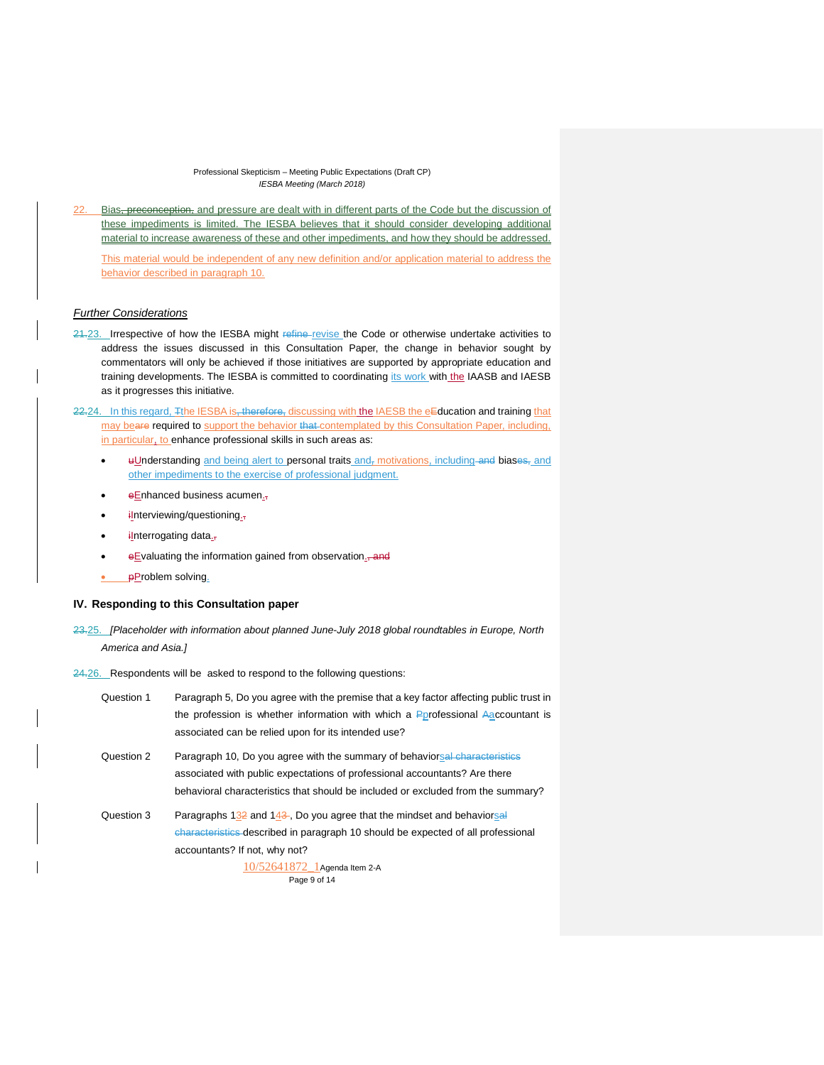Bias<del>, preconception,</del> and pressure are dealt with in different parts of the Code but the discussion of these impediments is limited. The IESBA believes that it should consider developing additional material to increase awareness of these and other impediments, and how they should be addressed. This material would be independent of any new definition and/or application material to address the behavior described in paragraph 10.

## *Further Considerations*

- 21.23. Irrespective of how the IESBA might refine revise the Code or otherwise undertake activities to address the issues discussed in this Consultation Paper, the change in behavior sought by commentators will only be achieved if those initiatives are supported by appropriate education and training developments. The IESBA is committed to coordinating its work with the IAASB and IAESB as it progresses this initiative.
- 22.24. In this regard, Tthe IESBA is, therefore, discussing with the IAESB the eEducation and training that may beare required to support the behavior that contemplated by this Consultation Paper, including, in particular, to enhance professional skills in such areas as:
	- uUnderstanding and being alert to personal traits and, motivations, including and biases, and other impediments to the exercise of professional judgment.
	- $\bullet$  eEnhanced business acumen.
	- ilnterviewing/questioning.
	- iInterrogating data.,
	- eEvaluating the information gained from observation<sub>-</sub>and
	- **p**Problem solving.

## **IV. Responding to this Consultation paper**

- 23.25. *[Placeholder with information about planned June-July 2018 global roundtables in Europe, North America and Asia.]*
- 24.26. Respondents will be asked to respond to the following questions:

| Question 1 | Paragraph 5, Do you agree with the premise that a key factor affecting public trust in |
|------------|----------------------------------------------------------------------------------------|
|            | the profession is whether information with which a Pprofessional Aaccountant is        |
|            | associated can be relied upon for its intended use?                                    |
| Question 2 | Paragraph 10, Do you agree with the summary of behaviorsal characteristics             |
|            | associated with public expectations of professional accountants? Are there             |
|            | behavioral characteristics that should be included or excluded from the summary?       |
| Question 3 | Paragraphs 132 and 143. Do you agree that the mindset and behaviorsal                  |
|            | characteristics described in paragraph 10 should be expected of all professional       |
|            | accountants? If not, why not?                                                          |
|            | $10/52641872$ Agenda Item 2-A                                                          |
|            | Page 9 of 14                                                                           |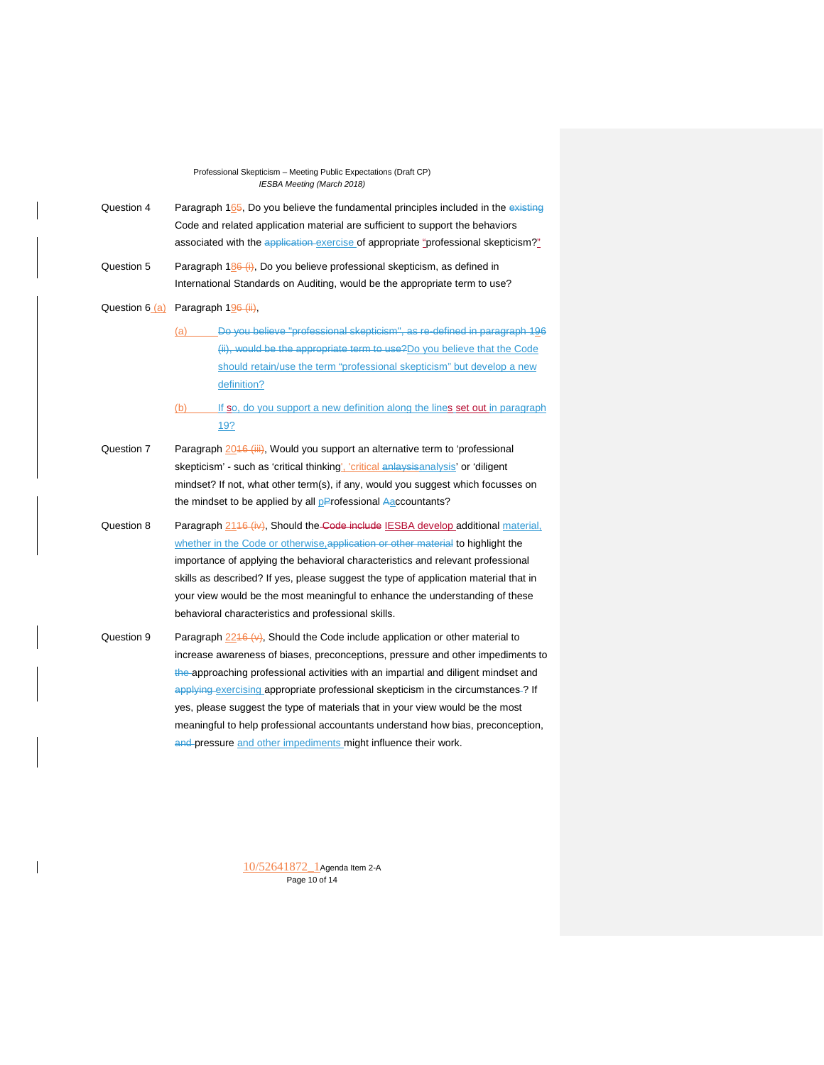- Question 4 Paragraph 165, Do you believe the fundamental principles included in the existing Code and related application material are sufficient to support the behaviors associated with the application exercise of appropriate "professional skepticism?"
- Question 5 Paragraph 186 (i), Do you believe professional skepticism, as defined in International Standards on Auditing, would be the appropriate term to use?

Question  $6(a)$  Paragraph  $196$  (ii),

- (a) Do you believe "professional skepticism", as re-defined in paragraph 196 (ii), would be the appropriate term to use?Do you believe that the Code should retain/use the term "professional skepticism" but develop a new definition?
- (b) If so, do you support a new definition along the lines set out in paragraph 19?
- Question 7 Paragraph 2016 (iii), Would you support an alternative term to 'professional skepticism' - such as 'critical thinking', 'critical anlaysisanalysis' or 'diligent mindset? If not, what other term(s), if any, would you suggest which focusses on the mindset to be applied by all pProfessional Aaccountants?
- Question 8 Paragraph 2146 (iv), Should the Code include IESBA develop additional material, whether in the Code or otherwise, application or other material to highlight the importance of applying the behavioral characteristics and relevant professional skills as described? If yes, please suggest the type of application material that in your view would be the most meaningful to enhance the understanding of these behavioral characteristics and professional skills.
- Question 9 Paragraph  $\frac{2246 (v)}{v}$ , Should the Code include application or other material to increase awareness of biases, preconceptions, pressure and other impediments to the approaching professional activities with an impartial and diligent mindset and applying exercising appropriate professional skepticism in the circumstances -? If yes, please suggest the type of materials that in your view would be the most meaningful to help professional accountants understand how bias, preconception, and pressure and other impediments might influence their work.

10/52641872\_1Agenda Item 2-A Page 10 of 14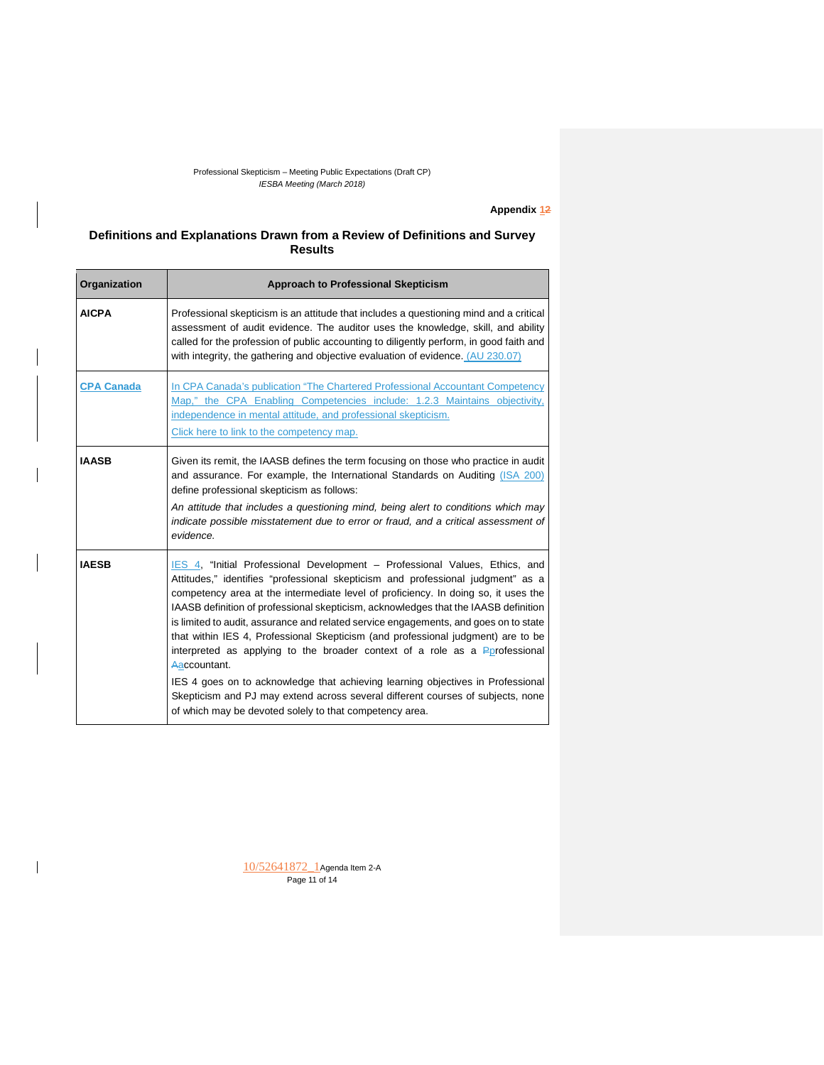# **Appendix 12**

# **Definitions and Explanations Drawn from a Review of Definitions and Survey Results**

| Organization      | <b>Approach to Professional Skepticism</b>                                                                                                                                                                                                                                                                                                                                                                                                                                                                                                                                                                                                                                                                                                                                                                                                              |
|-------------------|---------------------------------------------------------------------------------------------------------------------------------------------------------------------------------------------------------------------------------------------------------------------------------------------------------------------------------------------------------------------------------------------------------------------------------------------------------------------------------------------------------------------------------------------------------------------------------------------------------------------------------------------------------------------------------------------------------------------------------------------------------------------------------------------------------------------------------------------------------|
| <b>AICPA</b>      | Professional skepticism is an attitude that includes a questioning mind and a critical<br>assessment of audit evidence. The auditor uses the knowledge, skill, and ability<br>called for the profession of public accounting to diligently perform, in good faith and<br>with integrity, the gathering and objective evaluation of evidence. (AU 230.07)                                                                                                                                                                                                                                                                                                                                                                                                                                                                                                |
| <b>CPA Canada</b> | In CPA Canada's publication "The Chartered Professional Accountant Competency<br>Map," the CPA Enabling Competencies include: 1.2.3 Maintains objectivity,<br>independence in mental attitude, and professional skepticism.<br>Click here to link to the competency map.                                                                                                                                                                                                                                                                                                                                                                                                                                                                                                                                                                                |
| <b>IAASB</b>      | Given its remit, the IAASB defines the term focusing on those who practice in audit<br>and assurance. For example, the International Standards on Auditing (ISA 200)<br>define professional skepticism as follows:<br>An attitude that includes a questioning mind, being alert to conditions which may<br>indicate possible misstatement due to error or fraud, and a critical assessment of<br>evidence.                                                                                                                                                                                                                                                                                                                                                                                                                                              |
| <b>IAESB</b>      | IES 4. "Initial Professional Development - Professional Values, Ethics, and<br>Attitudes," identifies "professional skepticism and professional judgment" as a<br>competency area at the intermediate level of proficiency. In doing so, it uses the<br>IAASB definition of professional skepticism, acknowledges that the IAASB definition<br>is limited to audit, assurance and related service engagements, and goes on to state<br>that within IES 4, Professional Skepticism (and professional judgment) are to be<br>interpreted as applying to the broader context of a role as a Porofessional<br>Aaccountant.<br>IES 4 goes on to acknowledge that achieving learning objectives in Professional<br>Skepticism and PJ may extend across several different courses of subjects, none<br>of which may be devoted solely to that competency area. |

10/52641872\_1Agenda Item 2-A Page 11 of 14

 $\overline{1}$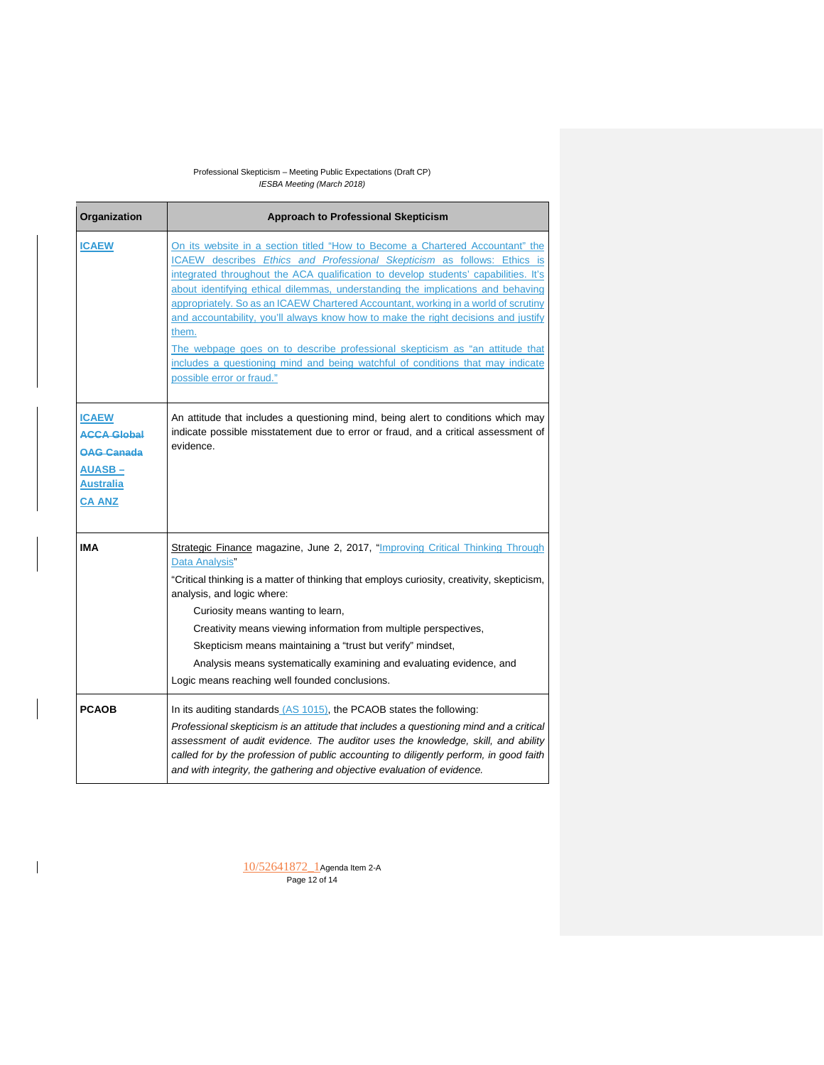| Organization                                                                                                  | <b>Approach to Professional Skepticism</b>                                                                                                                                                                                                                                                                                                                                                                                                                                                                                                                                                                                                                                                                              |
|---------------------------------------------------------------------------------------------------------------|-------------------------------------------------------------------------------------------------------------------------------------------------------------------------------------------------------------------------------------------------------------------------------------------------------------------------------------------------------------------------------------------------------------------------------------------------------------------------------------------------------------------------------------------------------------------------------------------------------------------------------------------------------------------------------------------------------------------------|
| <b>ICAEW</b>                                                                                                  | On its website in a section titled "How to Become a Chartered Accountant" the<br>ICAEW describes Ethics and Professional Skepticism as follows: Ethics is<br>integrated throughout the ACA qualification to develop students' capabilities. It's<br>about identifying ethical dilemmas, understanding the implications and behaving<br>appropriately. So as an ICAEW Chartered Accountant, working in a world of scrutiny<br>and accountability, you'll always know how to make the right decisions and justify<br>them.<br>The webpage goes on to describe professional skepticism as "an attitude that<br>includes a questioning mind and being watchful of conditions that may indicate<br>possible error or fraud." |
| <b>ICAEW</b><br><b>ACCA Global</b><br><b>OAG Canada</b><br><b>AUASB-</b><br><b>Australia</b><br><b>CA ANZ</b> | An attitude that includes a questioning mind, being alert to conditions which may<br>indicate possible misstatement due to error or fraud, and a critical assessment of<br>evidence.                                                                                                                                                                                                                                                                                                                                                                                                                                                                                                                                    |
| <b>IMA</b>                                                                                                    | Strategic Finance magazine, June 2, 2017, "Improving Critical Thinking Through<br>Data Analysis"<br>"Critical thinking is a matter of thinking that employs curiosity, creativity, skepticism,<br>analysis, and logic where:<br>Curiosity means wanting to learn,<br>Creativity means viewing information from multiple perspectives,<br>Skepticism means maintaining a "trust but verify" mindset,<br>Analysis means systematically examining and evaluating evidence, and<br>Logic means reaching well founded conclusions.                                                                                                                                                                                           |
| <b>PCAOB</b>                                                                                                  | In its auditing standards (AS 1015), the PCAOB states the following:<br>Professional skepticism is an attitude that includes a questioning mind and a critical<br>assessment of audit evidence. The auditor uses the knowledge, skill, and ability<br>called for by the profession of public accounting to diligently perform, in good faith<br>and with integrity, the gathering and objective evaluation of evidence.                                                                                                                                                                                                                                                                                                 |

 $\begin{array}{c} \hline \end{array}$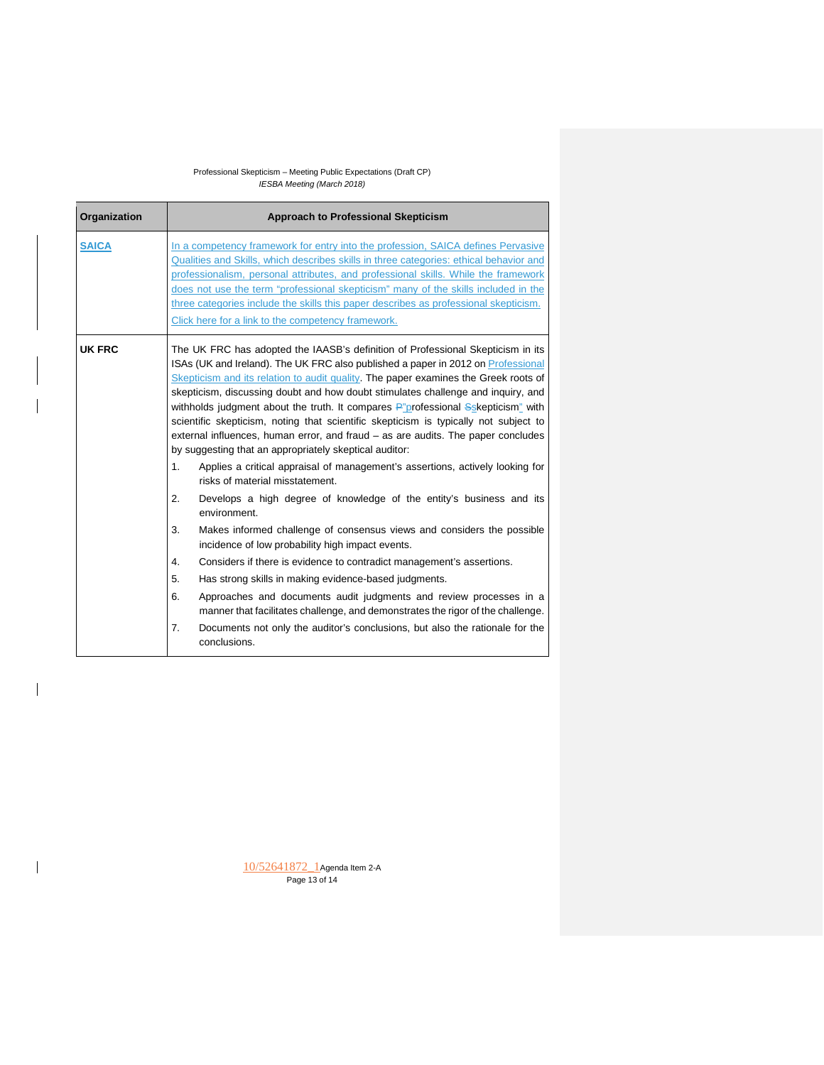| Organization | <b>Approach to Professional Skepticism</b>                                                                                                                                                                                                                                                                                                                                                                                                                                                                                                                                                                                                                                                                                                                                                                                                                                                                                                                                                                                                                                                                                                                                                                                                                                                                                                                                                                                                                                        |
|--------------|-----------------------------------------------------------------------------------------------------------------------------------------------------------------------------------------------------------------------------------------------------------------------------------------------------------------------------------------------------------------------------------------------------------------------------------------------------------------------------------------------------------------------------------------------------------------------------------------------------------------------------------------------------------------------------------------------------------------------------------------------------------------------------------------------------------------------------------------------------------------------------------------------------------------------------------------------------------------------------------------------------------------------------------------------------------------------------------------------------------------------------------------------------------------------------------------------------------------------------------------------------------------------------------------------------------------------------------------------------------------------------------------------------------------------------------------------------------------------------------|
| <b>SAICA</b> | In a competency framework for entry into the profession, SAICA defines Pervasive<br>Qualities and Skills, which describes skills in three categories: ethical behavior and<br>professionalism, personal attributes, and professional skills. While the framework<br>does not use the term "professional skepticism" many of the skills included in the<br>three categories include the skills this paper describes as professional skepticism.<br>Click here for a link to the competency framework.                                                                                                                                                                                                                                                                                                                                                                                                                                                                                                                                                                                                                                                                                                                                                                                                                                                                                                                                                                              |
| UK FRC       | The UK FRC has adopted the IAASB's definition of Professional Skepticism in its<br>ISAs (UK and Ireland). The UK FRC also published a paper in 2012 on Professional<br>Skepticism and its relation to audit quality. The paper examines the Greek roots of<br>skepticism, discussing doubt and how doubt stimulates challenge and inquiry, and<br>withholds judgment about the truth. It compares P"professional Sskepticism" with<br>scientific skepticism, noting that scientific skepticism is typically not subject to<br>external influences, human error, and fraud - as are audits. The paper concludes<br>by suggesting that an appropriately skeptical auditor:<br>1 <sub>1</sub><br>Applies a critical appraisal of management's assertions, actively looking for<br>risks of material misstatement.<br>2.<br>Develops a high degree of knowledge of the entity's business and its<br>environment.<br>3.<br>Makes informed challenge of consensus views and considers the possible<br>incidence of low probability high impact events.<br>$\overline{4}$ .<br>Considers if there is evidence to contradict management's assertions.<br>Has strong skills in making evidence-based judgments.<br>5.<br>6.<br>Approaches and documents audit judgments and review processes in a<br>manner that facilitates challenge, and demonstrates the rigor of the challenge.<br>7.<br>Documents not only the auditor's conclusions, but also the rationale for the<br>conclusions. |

10/52641872\_1Agenda Item 2-A Page 13 of 14

 $\overline{\phantom{a}}$ 

 $\overline{\phantom{a}}$